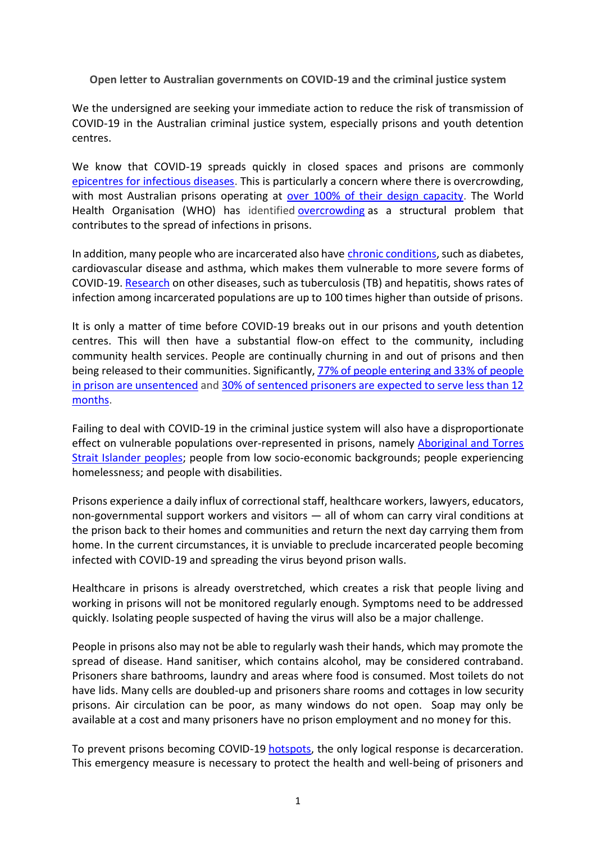**Open letter to Australian governments on COVID-19 and the criminal justice system**

We the undersigned are seeking your immediate action to reduce the risk of transmission of COVID-19 in the Australian criminal justice system, especially prisons and youth detention centres.

We know that COVID-19 spreads quickly in closed spaces and prisons are commonly [epicentres for infectious diseases.](https://www.thelancet.com/journals/lanpub/article/PIIS2468-2667(20)30058-X/fulltext) This is particularly a concern where there is overcrowding, with most Australian prisons operating at <u>over 100% of their design capacity</u>. The World Health Organisation (WHO) has identified [overcrowding](http://www.euro.who.int/__data/assets/pdf_file/0005/249188/Prisons-and-Health.pdf) as a structural problem that contributes to the spread of infections in prisons.

In addition, many people who are incarcerated also have [chronic conditions,](https://www.aihw.gov.au/reports/prisoners/health-australia-prisoners-2018/contents/table-of-contents) such as diabetes, cardiovascular disease and asthma, which makes them vulnerable to more severe forms of COVID-19. [Research](https://dx.doi.org/10.1080/17449200701862145) on other diseases, such as tuberculosis (TB) and hepatitis, shows rates of infection among incarcerated populations are up to 100 times higher than outside of prisons.

It is only a matter of time before COVID-19 breaks out in our prisons and youth detention centres. This will then have a substantial flow-on effect to the community, including community health services. People are continually churning in and out of prisons and then being released to their communities. Significantly, [77% of people entering and 33% of people](https://www.abs.gov.au/ausstats/abs@.nsf/mf/4512.0)  [in prison are unsentenced](https://www.abs.gov.au/ausstats/abs@.nsf/mf/4512.0) an[d 30% of sentenced prisoners are expected to serve less than 12](https://www.abs.gov.au/ausstats/abs@.nsf/mf/4517.0)  [months.](https://www.abs.gov.au/ausstats/abs@.nsf/mf/4517.0)

Failing to deal with COVID-19 in the criminal justice system will also have a disproportionate effect on vulnerable populations over-represented in prisons, namely [Aboriginal and Torres](https://theconversation.com/why-releasing-some-prisoners-is-essential-to-stop-the-spread-of-coronavirus-133516)  [Strait Islander peoples;](https://theconversation.com/why-releasing-some-prisoners-is-essential-to-stop-the-spread-of-coronavirus-133516) people from low socio-economic backgrounds; people experiencing homelessness; and people with disabilities.

Prisons experience a daily influx of correctional staff, healthcare workers, lawyers, educators, non-governmental support workers and visitors — all of whom can carry viral conditions at the prison back to their homes and communities and return the next day carrying them from home. In the current circumstances, it is unviable to preclude incarcerated people becoming infected with COVID-19 and spreading the virus beyond prison walls.

Healthcare in prisons is already overstretched, which creates a risk that people living and working in prisons will not be monitored regularly enough. Symptoms need to be addressed quickly. Isolating people suspected of having the virus will also be a major challenge.

People in prisons also may not be able to regularly wash their hands, which may promote the spread of disease. Hand sanitiser, which contains alcohol, may be considered contraband. Prisoners share bathrooms, laundry and areas where food is consumed. Most toilets do not have lids. Many cells are doubled-up and prisoners share rooms and cottages in low security prisons. Air circulation can be poor, as many windows do not open. Soap may only be available at a cost and many prisoners have no prison employment and no money for this.

To prevent prisons becoming COVID-19 [hotspots,](https://www.poynter.org/reporting-editing/2020/how-to-move-beyond-scary-covid-19-stories/) the only logical response is decarceration. This emergency measure is necessary to protect the health and well-being of prisoners and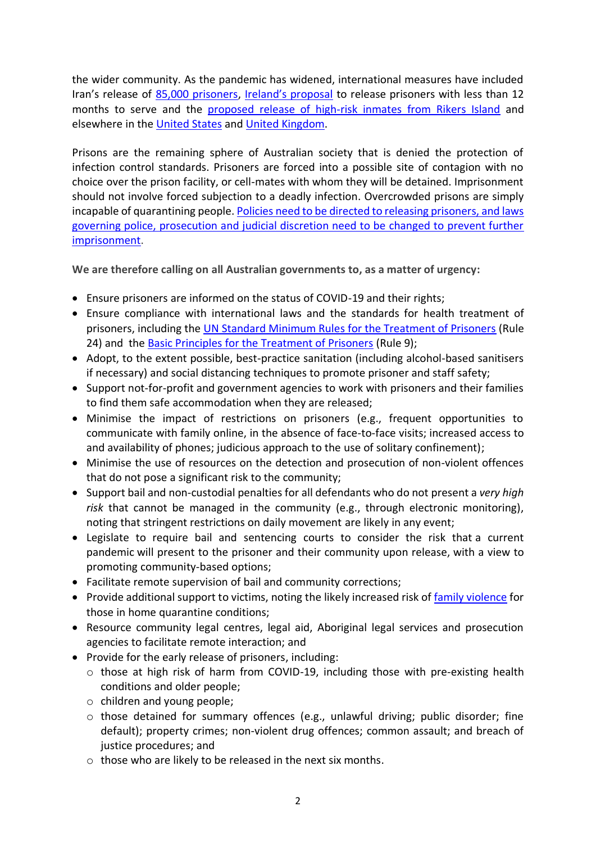the wider community. As the pandemic has widened, international measures have included Iran's release of [85,000 prisoners,](https://news.sky.com/story/coronavirus-iran-frees-85-000-prisoners-to-combat-spread-of-covid-19-11958783) [Ireland's proposal](https://www.irishtimes.com/news/crime-and-law/hundreds-of-prisoners-may-be-released-to-reduce-jail-risk-of-covid-19-1.4202626) to release prisoners with less than 12 months to serve and the [proposed release of high-risk inmates from Rikers Island](https://nymag.com/intelligencer/2020/03/will-rikers-island-free-inmates-because-of-coronavirus.html) and elsewhere in the [United States](https://edition.cnn.com/2020/03/16/us/inmates-released-jail-coronavirus-trnd/index.html) and [United Kingdom.](https://news.sky.com/story/coronavirus-prisoners-could-be-released-early-if-covid-19-spreads-to-staff-and-inmates-11957813)

Prisons are the remaining sphere of Australian society that is denied the protection of infection control standards. Prisoners are forced into a possible site of contagion with no choice over the prison facility, or cell-mates with whom they will be detained. Imprisonment should not involve forced subjection to a deadly infection. Overcrowded prisons are simply incapable of quarantining people[. Policies need to be directed to releasing prisoners, and laws](https://theconversation.com/why-releasing-some-prisoners-is-essential-to-stop-the-spread-of-coronavirus-133516)  [governing police, prosecution and judicial discretion need to be changed to prevent further](https://theconversation.com/why-releasing-some-prisoners-is-essential-to-stop-the-spread-of-coronavirus-133516)  [imprisonment.](https://theconversation.com/why-releasing-some-prisoners-is-essential-to-stop-the-spread-of-coronavirus-133516)

**We are therefore calling on all Australian governments to, as a matter of urgency:**

- Ensure prisoners are informed on the status of COVID-19 and their rights;
- Ensure compliance with international laws and the standards for health treatment of prisoners, including the [UN Standard Minimum Rules for the Treatment of Prisoners](https://undocs.org/A/RES/70/175) (Rule 24) and the **Basic Principles for the Treatment of Prisoners** (Rule 9);
- Adopt, to the extent possible, best-practice sanitation (including alcohol-based sanitisers if necessary) and social distancing techniques to promote prisoner and staff safety;
- Support not-for-profit and government agencies to work with prisoners and their families to find them safe accommodation when they are released;
- Minimise the impact of restrictions on prisoners (e.g., frequent opportunities to communicate with family online, in the absence of face-to-face visits; increased access to and availability of phones; judicious approach to the use of solitary confinement);
- Minimise the use of resources on the detection and prosecution of non-violent offences that do not pose a significant risk to the community;
- Support bail and non-custodial penalties for all defendants who do not present a *very high risk* that cannot be managed in the community (e.g., through electronic monitoring), noting that stringent restrictions on daily movement are likely in any event;
- Legislate to require bail and sentencing courts to consider the risk that a current pandemic will present to the prisoner and their community upon release, with a view to promoting community-based options;
- Facilitate remote supervision of bail and community corrections;
- Provide additional support to victims, noting the likely increased risk o[f family violence](https://lens.monash.edu/@politics-society/2020/03/18/1379841/coronavirus-fear-of-family-violence-spike-as-covid-19-impact-hits-households) for those in home quarantine conditions;
- Resource community legal centres, legal aid, Aboriginal legal services and prosecution agencies to facilitate remote interaction; and
- Provide for the early release of prisoners, including:
	- o those at high risk of harm from COVID-19, including those with pre-existing health conditions and older people;
	- o children and young people;
	- o those detained for summary offences (e.g., unlawful driving; public disorder; fine default); property crimes; non-violent drug offences; common assault; and breach of justice procedures; and
	- o those who are likely to be released in the next six months.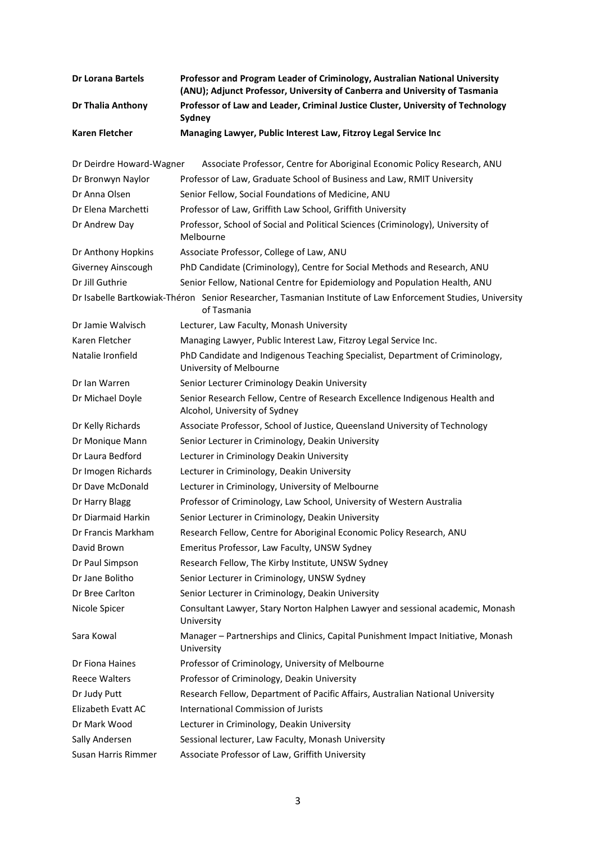| <b>Dr Lorana Bartels</b> | Professor and Program Leader of Criminology, Australian National University<br>(ANU); Adjunct Professor, University of Canberra and University of Tasmania |
|--------------------------|------------------------------------------------------------------------------------------------------------------------------------------------------------|
| Dr Thalia Anthony        | Professor of Law and Leader, Criminal Justice Cluster, University of Technology<br>Sydney                                                                  |
| <b>Karen Fletcher</b>    | Managing Lawyer, Public Interest Law, Fitzroy Legal Service Inc                                                                                            |
| Dr Deirdre Howard-Wagner | Associate Professor, Centre for Aboriginal Economic Policy Research, ANU                                                                                   |
| Dr Bronwyn Naylor        | Professor of Law, Graduate School of Business and Law, RMIT University                                                                                     |
| Dr Anna Olsen            | Senior Fellow, Social Foundations of Medicine, ANU                                                                                                         |
| Dr Elena Marchetti       | Professor of Law, Griffith Law School, Griffith University                                                                                                 |
| Dr Andrew Day            | Professor, School of Social and Political Sciences (Criminology), University of<br>Melbourne                                                               |
| Dr Anthony Hopkins       | Associate Professor, College of Law, ANU                                                                                                                   |
| Giverney Ainscough       | PhD Candidate (Criminology), Centre for Social Methods and Research, ANU                                                                                   |
| Dr Jill Guthrie          | Senior Fellow, National Centre for Epidemiology and Population Health, ANU                                                                                 |
|                          | Dr Isabelle Bartkowiak-Théron Senior Researcher, Tasmanian Institute of Law Enforcement Studies, University<br>of Tasmania                                 |
| Dr Jamie Walvisch        | Lecturer, Law Faculty, Monash University                                                                                                                   |
| Karen Fletcher           | Managing Lawyer, Public Interest Law, Fitzroy Legal Service Inc.                                                                                           |
| Natalie Ironfield        | PhD Candidate and Indigenous Teaching Specialist, Department of Criminology,<br>University of Melbourne                                                    |
| Dr Ian Warren            | Senior Lecturer Criminology Deakin University                                                                                                              |
| Dr Michael Doyle         | Senior Research Fellow, Centre of Research Excellence Indigenous Health and<br>Alcohol, University of Sydney                                               |
| Dr Kelly Richards        | Associate Professor, School of Justice, Queensland University of Technology                                                                                |
| Dr Monique Mann          | Senior Lecturer in Criminology, Deakin University                                                                                                          |
| Dr Laura Bedford         | Lecturer in Criminology Deakin University                                                                                                                  |
| Dr Imogen Richards       | Lecturer in Criminology, Deakin University                                                                                                                 |
| Dr Dave McDonald         | Lecturer in Criminology, University of Melbourne                                                                                                           |
| Dr Harry Blagg           | Professor of Criminology, Law School, University of Western Australia                                                                                      |
| Dr Diarmaid Harkin       | Senior Lecturer in Criminology, Deakin University                                                                                                          |
| Dr Francis Markham       | Research Fellow, Centre for Aboriginal Economic Policy Research, ANU                                                                                       |
| David Brown              | Emeritus Professor, Law Faculty, UNSW Sydney                                                                                                               |
| Dr Paul Simpson          | Research Fellow, The Kirby Institute, UNSW Sydney                                                                                                          |
| Dr Jane Bolitho          | Senior Lecturer in Criminology, UNSW Sydney                                                                                                                |
| Dr Bree Carlton          | Senior Lecturer in Criminology, Deakin University                                                                                                          |
| Nicole Spicer            | Consultant Lawyer, Stary Norton Halphen Lawyer and sessional academic, Monash<br>University                                                                |
| Sara Kowal               | Manager - Partnerships and Clinics, Capital Punishment Impact Initiative, Monash<br>University                                                             |
| Dr Fiona Haines          | Professor of Criminology, University of Melbourne                                                                                                          |
| <b>Reece Walters</b>     | Professor of Criminology, Deakin University                                                                                                                |
| Dr Judy Putt             | Research Fellow, Department of Pacific Affairs, Australian National University                                                                             |
| Elizabeth Evatt AC       | International Commission of Jurists                                                                                                                        |
| Dr Mark Wood             | Lecturer in Criminology, Deakin University                                                                                                                 |
| Sally Andersen           | Sessional lecturer, Law Faculty, Monash University                                                                                                         |
| Susan Harris Rimmer      | Associate Professor of Law, Griffith University                                                                                                            |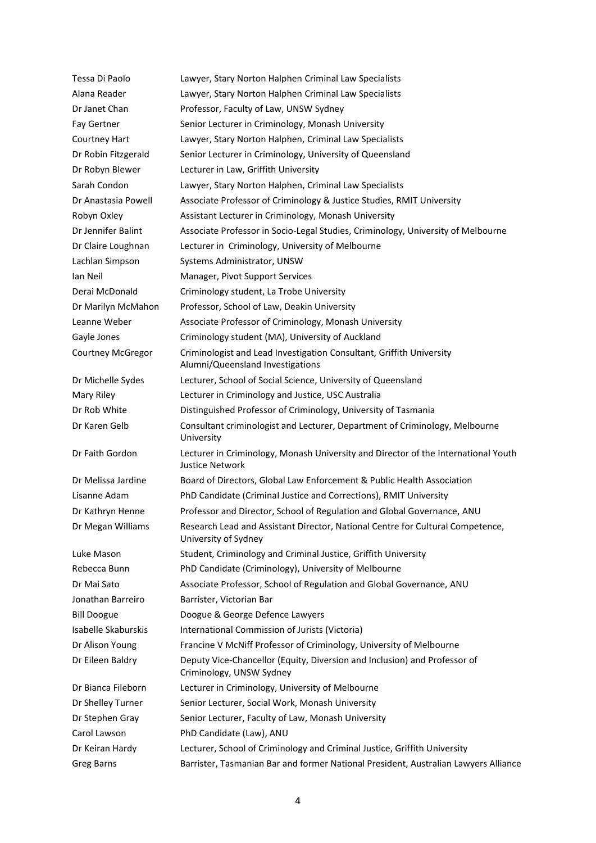| Tessa Di Paolo           | Lawyer, Stary Norton Halphen Criminal Law Specialists                                                    |
|--------------------------|----------------------------------------------------------------------------------------------------------|
| Alana Reader             | Lawyer, Stary Norton Halphen Criminal Law Specialists                                                    |
| Dr Janet Chan            | Professor, Faculty of Law, UNSW Sydney                                                                   |
| Fay Gertner              | Senior Lecturer in Criminology, Monash University                                                        |
| Courtney Hart            | Lawyer, Stary Norton Halphen, Criminal Law Specialists                                                   |
| Dr Robin Fitzgerald      | Senior Lecturer in Criminology, University of Queensland                                                 |
| Dr Robyn Blewer          | Lecturer in Law, Griffith University                                                                     |
| Sarah Condon             | Lawyer, Stary Norton Halphen, Criminal Law Specialists                                                   |
| Dr Anastasia Powell      | Associate Professor of Criminology & Justice Studies, RMIT University                                    |
| Robyn Oxley              | Assistant Lecturer in Criminology, Monash University                                                     |
| Dr Jennifer Balint       | Associate Professor in Socio-Legal Studies, Criminology, University of Melbourne                         |
| Dr Claire Loughnan       | Lecturer in Criminology, University of Melbourne                                                         |
| Lachlan Simpson          | Systems Administrator, UNSW                                                                              |
| Ian Neil                 | Manager, Pivot Support Services                                                                          |
| Derai McDonald           | Criminology student, La Trobe University                                                                 |
| Dr Marilyn McMahon       | Professor, School of Law, Deakin University                                                              |
| Leanne Weber             | Associate Professor of Criminology, Monash University                                                    |
| Gayle Jones              | Criminology student (MA), University of Auckland                                                         |
| <b>Courtney McGregor</b> | Criminologist and Lead Investigation Consultant, Griffith University<br>Alumni/Queensland Investigations |
| Dr Michelle Sydes        | Lecturer, School of Social Science, University of Queensland                                             |
| Mary Riley               | Lecturer in Criminology and Justice, USC Australia                                                       |
| Dr Rob White             | Distinguished Professor of Criminology, University of Tasmania                                           |
| Dr Karen Gelb            | Consultant criminologist and Lecturer, Department of Criminology, Melbourne<br>University                |
| Dr Faith Gordon          | Lecturer in Criminology, Monash University and Director of the International Youth<br>Justice Network    |
| Dr Melissa Jardine       | Board of Directors, Global Law Enforcement & Public Health Association                                   |
| Lisanne Adam             | PhD Candidate (Criminal Justice and Corrections), RMIT University                                        |
| Dr Kathryn Henne         | Professor and Director, School of Regulation and Global Governance, ANU                                  |
| Dr Megan Williams        | Research Lead and Assistant Director, National Centre for Cultural Competence,<br>University of Sydney   |
| Luke Mason               | Student, Criminology and Criminal Justice, Griffith University                                           |
| Rebecca Bunn             | PhD Candidate (Criminology), University of Melbourne                                                     |
| Dr Mai Sato              | Associate Professor, School of Regulation and Global Governance, ANU                                     |
| Jonathan Barreiro        | Barrister, Victorian Bar                                                                                 |
| <b>Bill Doogue</b>       | Doogue & George Defence Lawyers                                                                          |
| Isabelle Skaburskis      | International Commission of Jurists (Victoria)                                                           |
| Dr Alison Young          | Francine V McNiff Professor of Criminology, University of Melbourne                                      |
| Dr Eileen Baldry         | Deputy Vice-Chancellor (Equity, Diversion and Inclusion) and Professor of<br>Criminology, UNSW Sydney    |
| Dr Bianca Fileborn       | Lecturer in Criminology, University of Melbourne                                                         |
| Dr Shelley Turner        | Senior Lecturer, Social Work, Monash University                                                          |
| Dr Stephen Gray          | Senior Lecturer, Faculty of Law, Monash University                                                       |
| Carol Lawson             | PhD Candidate (Law), ANU                                                                                 |
| Dr Keiran Hardy          | Lecturer, School of Criminology and Criminal Justice, Griffith University                                |
| <b>Greg Barns</b>        | Barrister, Tasmanian Bar and former National President, Australian Lawyers Alliance                      |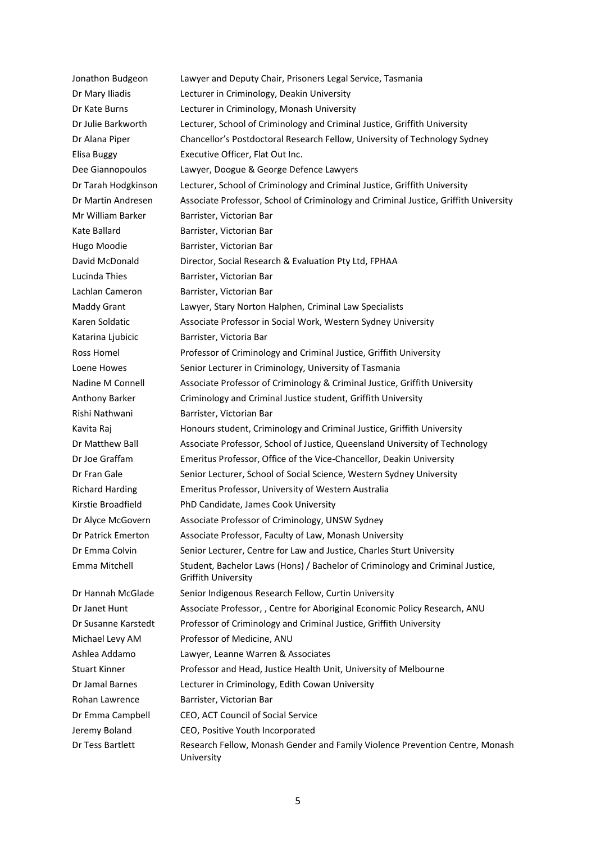Jonathon Budgeon Lawyer and Deputy Chair, Prisoners Legal Service, Tasmania Dr Mary Iliadis Lecturer in Criminology, Deakin University Dr Kate Burns Lecturer in Criminology, Monash University Dr Julie Barkworth Lecturer, School of Criminology and Criminal Justice, Griffith University Dr Alana Piper Chancellor's Postdoctoral Research Fellow, University of Technology Sydney Elisa Buggy Executive Officer, Flat Out Inc. Dee Giannopoulos Lawyer, Doogue & George Defence Lawyers Dr Tarah Hodgkinson Lecturer, School of Criminology and Criminal Justice, Griffith University Dr Martin Andresen Associate Professor, School of Criminology and Criminal Justice, Griffith University Mr William Barker Barrister, Victorian Bar Kate Ballard Barrister, Victorian Bar Hugo Moodie Barrister, Victorian Bar David McDonald Director, Social Research & Evaluation Pty Ltd, FPHAA Lucinda Thies **Barrister**, Victorian Bar Lachlan Cameron Barrister, Victorian Bar Maddy Grant Lawyer, Stary Norton Halphen, Criminal Law Specialists Karen Soldatic **Associate Professor in Social Work, Western Sydney University** Katarina Ljubicic Barrister, Victoria Bar Ross Homel Professor of Criminology and Criminal Justice, Griffith University Loene Howes Senior Lecturer in Criminology, University of Tasmania Nadine M Connell Associate Professor of Criminology & Criminal Justice, Griffith University Anthony Barker Criminology and Criminal Justice student, Griffith University Rishi Nathwani Barrister, Victorian Bar Kavita Raj Honours student, Criminology and Criminal Justice, Griffith University Dr Matthew Ball Associate Professor, School of Justice, Queensland University of Technology Dr Joe Graffam Emeritus Professor, Office of the Vice-Chancellor, Deakin University Dr Fran Gale Senior Lecturer, School of Social Science, Western Sydney University Richard Harding Emeritus Professor, University of Western Australia Kirstie Broadfield PhD Candidate, James Cook University Dr Alyce McGovern Associate Professor of Criminology, UNSW Sydney Dr Patrick Emerton Associate Professor, Faculty of Law, Monash University Dr Emma Colvin Senior Lecturer, Centre for Law and Justice, Charles Sturt University Emma Mitchell Student, Bachelor Laws (Hons) / Bachelor of Criminology and Criminal Justice, Griffith University Dr Hannah McGlade Senior Indigenous Research Fellow, Curtin University Dr Janet Hunt Associate Professor, , Centre for Aboriginal Economic Policy Research, ANU Dr Susanne Karstedt Professor of Criminology and Criminal Justice, Griffith University Michael Levy AM Professor of Medicine, ANU Ashlea Addamo Lawyer, Leanne Warren & Associates Stuart Kinner Professor and Head, Justice Health Unit, University of Melbourne Dr Jamal Barnes Lecturer in Criminology, Edith Cowan University Rohan Lawrence Barrister, Victorian Bar Dr Emma Campbell CEO, ACT Council of Social Service Jeremy Boland CEO, Positive Youth Incorporated Dr Tess Bartlett Research Fellow, Monash Gender and Family Violence Prevention Centre, Monash University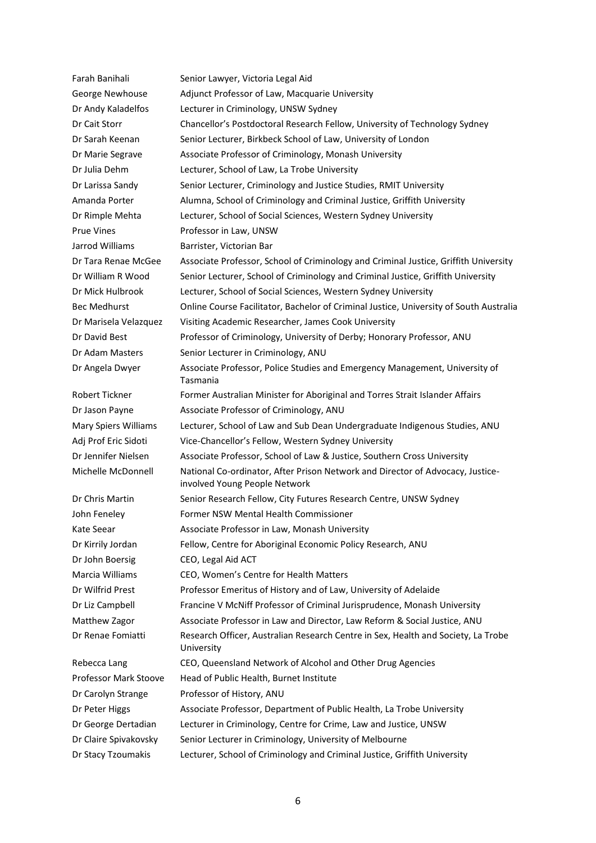| Farah Banihali        | Senior Lawyer, Victoria Legal Aid                                                                               |
|-----------------------|-----------------------------------------------------------------------------------------------------------------|
| George Newhouse       | Adjunct Professor of Law, Macquarie University                                                                  |
| Dr Andy Kaladelfos    | Lecturer in Criminology, UNSW Sydney                                                                            |
| Dr Cait Storr         | Chancellor's Postdoctoral Research Fellow, University of Technology Sydney                                      |
| Dr Sarah Keenan       | Senior Lecturer, Birkbeck School of Law, University of London                                                   |
| Dr Marie Segrave      | Associate Professor of Criminology, Monash University                                                           |
| Dr Julia Dehm         | Lecturer, School of Law, La Trobe University                                                                    |
| Dr Larissa Sandy      | Senior Lecturer, Criminology and Justice Studies, RMIT University                                               |
| Amanda Porter         | Alumna, School of Criminology and Criminal Justice, Griffith University                                         |
| Dr Rimple Mehta       | Lecturer, School of Social Sciences, Western Sydney University                                                  |
| <b>Prue Vines</b>     | Professor in Law, UNSW                                                                                          |
| Jarrod Williams       | Barrister, Victorian Bar                                                                                        |
| Dr Tara Renae McGee   | Associate Professor, School of Criminology and Criminal Justice, Griffith University                            |
| Dr William R Wood     | Senior Lecturer, School of Criminology and Criminal Justice, Griffith University                                |
| Dr Mick Hulbrook      | Lecturer, School of Social Sciences, Western Sydney University                                                  |
| <b>Bec Medhurst</b>   | Online Course Facilitator, Bachelor of Criminal Justice, University of South Australia                          |
| Dr Marisela Velazquez | Visiting Academic Researcher, James Cook University                                                             |
| Dr David Best         | Professor of Criminology, University of Derby; Honorary Professor, ANU                                          |
| Dr Adam Masters       | Senior Lecturer in Criminology, ANU                                                                             |
| Dr Angela Dwyer       | Associate Professor, Police Studies and Emergency Management, University of<br>Tasmania                         |
| Robert Tickner        | Former Australian Minister for Aboriginal and Torres Strait Islander Affairs                                    |
| Dr Jason Payne        | Associate Professor of Criminology, ANU                                                                         |
| Mary Spiers Williams  | Lecturer, School of Law and Sub Dean Undergraduate Indigenous Studies, ANU                                      |
| Adj Prof Eric Sidoti  | Vice-Chancellor's Fellow, Western Sydney University                                                             |
| Dr Jennifer Nielsen   | Associate Professor, School of Law & Justice, Southern Cross University                                         |
| Michelle McDonnell    | National Co-ordinator, After Prison Network and Director of Advocacy, Justice-<br>involved Young People Network |
| Dr Chris Martin       | Senior Research Fellow, City Futures Research Centre, UNSW Sydney                                               |
| John Feneley          | Former NSW Mental Health Commissioner                                                                           |
| Kate Seear            | Associate Professor in Law, Monash University                                                                   |
| Dr Kirrily Jordan     | Fellow, Centre for Aboriginal Economic Policy Research, ANU                                                     |
| Dr John Boersig       | CEO, Legal Aid ACT                                                                                              |
| Marcia Williams       | CEO, Women's Centre for Health Matters                                                                          |
| Dr Wilfrid Prest      | Professor Emeritus of History and of Law, University of Adelaide                                                |
| Dr Liz Campbell       | Francine V McNiff Professor of Criminal Jurisprudence, Monash University                                        |
| Matthew Zagor         | Associate Professor in Law and Director, Law Reform & Social Justice, ANU                                       |
| Dr Renae Fomiatti     | Research Officer, Australian Research Centre in Sex, Health and Society, La Trobe<br>University                 |
| Rebecca Lang          | CEO, Queensland Network of Alcohol and Other Drug Agencies                                                      |
| Professor Mark Stoove | Head of Public Health, Burnet Institute                                                                         |
| Dr Carolyn Strange    | Professor of History, ANU                                                                                       |
| Dr Peter Higgs        | Associate Professor, Department of Public Health, La Trobe University                                           |
| Dr George Dertadian   | Lecturer in Criminology, Centre for Crime, Law and Justice, UNSW                                                |
| Dr Claire Spivakovsky | Senior Lecturer in Criminology, University of Melbourne                                                         |
| Dr Stacy Tzoumakis    | Lecturer, School of Criminology and Criminal Justice, Griffith University                                       |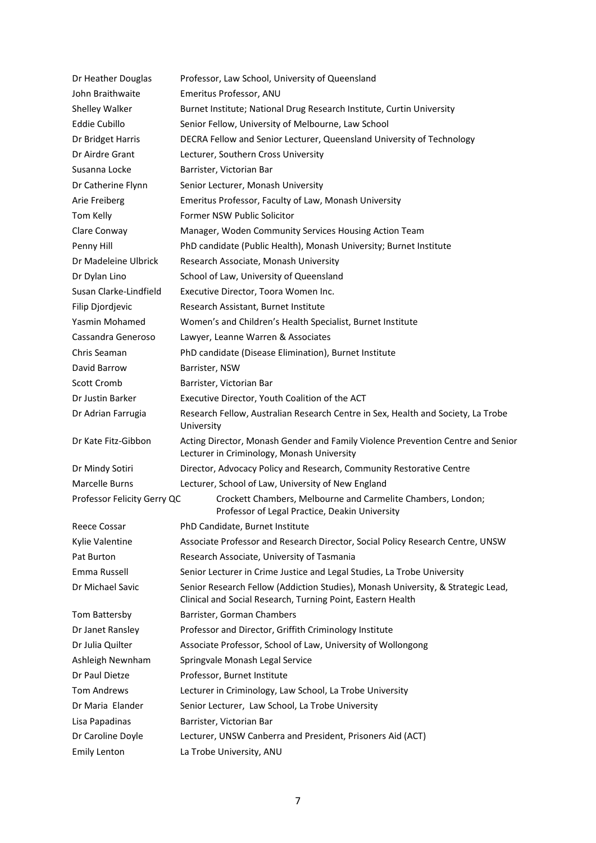| Dr Heather Douglas          | Professor, Law School, University of Queensland                                                                                                 |
|-----------------------------|-------------------------------------------------------------------------------------------------------------------------------------------------|
| John Braithwaite            | Emeritus Professor, ANU                                                                                                                         |
| Shelley Walker              | Burnet Institute; National Drug Research Institute, Curtin University                                                                           |
| <b>Eddie Cubillo</b>        | Senior Fellow, University of Melbourne, Law School                                                                                              |
| Dr Bridget Harris           | DECRA Fellow and Senior Lecturer, Queensland University of Technology                                                                           |
| Dr Airdre Grant             | Lecturer, Southern Cross University                                                                                                             |
| Susanna Locke               | Barrister, Victorian Bar                                                                                                                        |
| Dr Catherine Flynn          | Senior Lecturer, Monash University                                                                                                              |
| Arie Freiberg               | Emeritus Professor, Faculty of Law, Monash University                                                                                           |
| Tom Kelly                   | Former NSW Public Solicitor                                                                                                                     |
| Clare Conway                | Manager, Woden Community Services Housing Action Team                                                                                           |
| Penny Hill                  | PhD candidate (Public Health), Monash University; Burnet Institute                                                                              |
| Dr Madeleine Ulbrick        | Research Associate, Monash University                                                                                                           |
| Dr Dylan Lino               | School of Law, University of Queensland                                                                                                         |
| Susan Clarke-Lindfield      | Executive Director, Toora Women Inc.                                                                                                            |
| Filip Djordjevic            | Research Assistant, Burnet Institute                                                                                                            |
| Yasmin Mohamed              | Women's and Children's Health Specialist, Burnet Institute                                                                                      |
| Cassandra Generoso          | Lawyer, Leanne Warren & Associates                                                                                                              |
| Chris Seaman                | PhD candidate (Disease Elimination), Burnet Institute                                                                                           |
| David Barrow                | Barrister, NSW                                                                                                                                  |
| Scott Cromb                 | Barrister, Victorian Bar                                                                                                                        |
| Dr Justin Barker            | Executive Director, Youth Coalition of the ACT                                                                                                  |
| Dr Adrian Farrugia          | Research Fellow, Australian Research Centre in Sex, Health and Society, La Trobe<br>University                                                  |
| Dr Kate Fitz-Gibbon         | Acting Director, Monash Gender and Family Violence Prevention Centre and Senior<br>Lecturer in Criminology, Monash University                   |
| Dr Mindy Sotiri             | Director, Advocacy Policy and Research, Community Restorative Centre                                                                            |
| Marcelle Burns              | Lecturer, School of Law, University of New England                                                                                              |
| Professor Felicity Gerry QC | Crockett Chambers, Melbourne and Carmelite Chambers, London;<br>Professor of Legal Practice, Deakin University                                  |
| Reece Cossar                | PhD Candidate, Burnet Institute                                                                                                                 |
| Kylie Valentine             | Associate Professor and Research Director, Social Policy Research Centre, UNSW                                                                  |
| Pat Burton                  | Research Associate, University of Tasmania                                                                                                      |
| Emma Russell                | Senior Lecturer in Crime Justice and Legal Studies, La Trobe University                                                                         |
| Dr Michael Savic            | Senior Research Fellow (Addiction Studies), Monash University, & Strategic Lead,<br>Clinical and Social Research, Turning Point, Eastern Health |
| Tom Battersby               | Barrister, Gorman Chambers                                                                                                                      |
| Dr Janet Ransley            | Professor and Director, Griffith Criminology Institute                                                                                          |
| Dr Julia Quilter            | Associate Professor, School of Law, University of Wollongong                                                                                    |
| Ashleigh Newnham            | Springvale Monash Legal Service                                                                                                                 |
| Dr Paul Dietze              | Professor, Burnet Institute                                                                                                                     |
| Tom Andrews                 | Lecturer in Criminology, Law School, La Trobe University                                                                                        |
| Dr Maria Elander            | Senior Lecturer, Law School, La Trobe University                                                                                                |
| Lisa Papadinas              | Barrister, Victorian Bar                                                                                                                        |
| Dr Caroline Doyle           | Lecturer, UNSW Canberra and President, Prisoners Aid (ACT)                                                                                      |
| <b>Emily Lenton</b>         | La Trobe University, ANU                                                                                                                        |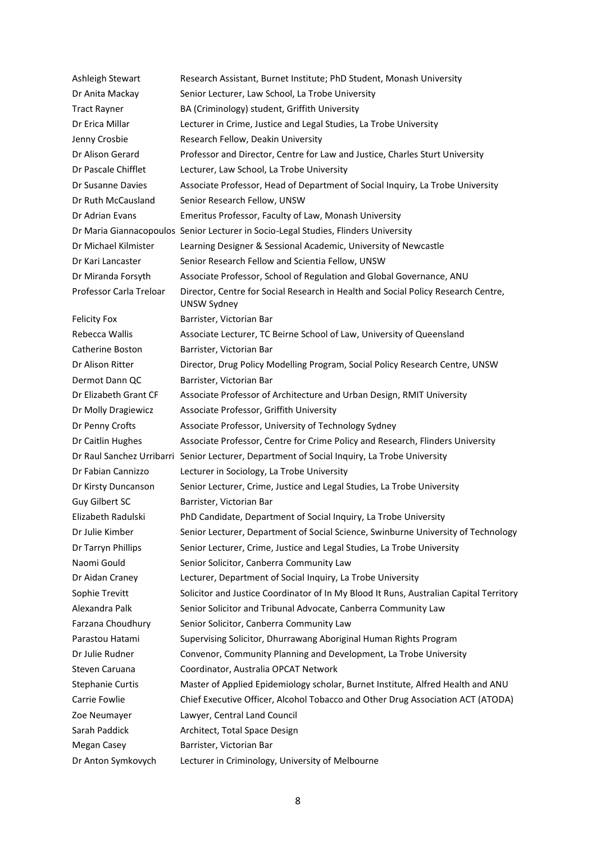| Ashleigh Stewart        | Research Assistant, Burnet Institute; PhD Student, Monash University                                    |
|-------------------------|---------------------------------------------------------------------------------------------------------|
| Dr Anita Mackay         | Senior Lecturer, Law School, La Trobe University                                                        |
| <b>Tract Rayner</b>     | BA (Criminology) student, Griffith University                                                           |
| Dr Erica Millar         | Lecturer in Crime, Justice and Legal Studies, La Trobe University                                       |
| Jenny Crosbie           | Research Fellow, Deakin University                                                                      |
| Dr Alison Gerard        | Professor and Director, Centre for Law and Justice, Charles Sturt University                            |
| Dr Pascale Chifflet     | Lecturer, Law School, La Trobe University                                                               |
| Dr Susanne Davies       | Associate Professor, Head of Department of Social Inquiry, La Trobe University                          |
| Dr Ruth McCausland      | Senior Research Fellow, UNSW                                                                            |
| Dr Adrian Evans         | Emeritus Professor, Faculty of Law, Monash University                                                   |
|                         | Dr Maria Giannacopoulos Senior Lecturer in Socio-Legal Studies, Flinders University                     |
| Dr Michael Kilmister    | Learning Designer & Sessional Academic, University of Newcastle                                         |
| Dr Kari Lancaster       | Senior Research Fellow and Scientia Fellow, UNSW                                                        |
| Dr Miranda Forsyth      | Associate Professor, School of Regulation and Global Governance, ANU                                    |
| Professor Carla Treloar | Director, Centre for Social Research in Health and Social Policy Research Centre,<br><b>UNSW Sydney</b> |
| <b>Felicity Fox</b>     | Barrister, Victorian Bar                                                                                |
| Rebecca Wallis          | Associate Lecturer, TC Beirne School of Law, University of Queensland                                   |
| Catherine Boston        | Barrister, Victorian Bar                                                                                |
| Dr Alison Ritter        | Director, Drug Policy Modelling Program, Social Policy Research Centre, UNSW                            |
| Dermot Dann QC          | Barrister, Victorian Bar                                                                                |
| Dr Elizabeth Grant CF   | Associate Professor of Architecture and Urban Design, RMIT University                                   |
| Dr Molly Dragiewicz     | Associate Professor, Griffith University                                                                |
| Dr Penny Crofts         | Associate Professor, University of Technology Sydney                                                    |
| Dr Caitlin Hughes       | Associate Professor, Centre for Crime Policy and Research, Flinders University                          |
|                         | Dr Raul Sanchez Urribarri Senior Lecturer, Department of Social Inquiry, La Trobe University            |
| Dr Fabian Cannizzo      | Lecturer in Sociology, La Trobe University                                                              |
| Dr Kirsty Duncanson     | Senior Lecturer, Crime, Justice and Legal Studies, La Trobe University                                  |
| Guy Gilbert SC          | Barrister, Victorian Bar                                                                                |
| Elizabeth Radulski      | PhD Candidate, Department of Social Inquiry, La Trobe University                                        |
| Dr Julie Kimber         | Senior Lecturer, Department of Social Science, Swinburne University of Technology                       |
| Dr Tarryn Phillips      | Senior Lecturer, Crime, Justice and Legal Studies, La Trobe University                                  |
| Naomi Gould             | Senior Solicitor, Canberra Community Law                                                                |
| Dr Aidan Craney         | Lecturer, Department of Social Inquiry, La Trobe University                                             |
| Sophie Trevitt          | Solicitor and Justice Coordinator of In My Blood It Runs, Australian Capital Territory                  |
| Alexandra Palk          | Senior Solicitor and Tribunal Advocate, Canberra Community Law                                          |
| Farzana Choudhury       | Senior Solicitor, Canberra Community Law                                                                |
| Parastou Hatami         | Supervising Solicitor, Dhurrawang Aboriginal Human Rights Program                                       |
| Dr Julie Rudner         | Convenor, Community Planning and Development, La Trobe University                                       |
| Steven Caruana          | Coordinator, Australia OPCAT Network                                                                    |
| <b>Stephanie Curtis</b> | Master of Applied Epidemiology scholar, Burnet Institute, Alfred Health and ANU                         |
| Carrie Fowlie           | Chief Executive Officer, Alcohol Tobacco and Other Drug Association ACT (ATODA)                         |
| Zoe Neumayer            | Lawyer, Central Land Council                                                                            |
| Sarah Paddick           | Architect, Total Space Design                                                                           |
| Megan Casey             | Barrister, Victorian Bar                                                                                |
| Dr Anton Symkovych      | Lecturer in Criminology, University of Melbourne                                                        |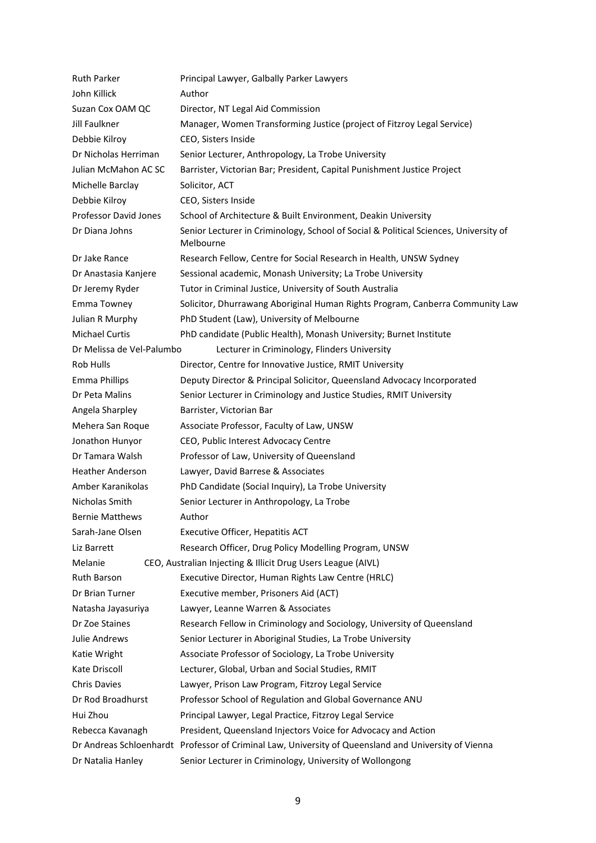| <b>Ruth Parker</b>           | Principal Lawyer, Galbally Parker Lawyers                                                            |
|------------------------------|------------------------------------------------------------------------------------------------------|
| John Killick                 | Author                                                                                               |
| Suzan Cox OAM QC             | Director, NT Legal Aid Commission                                                                    |
| Jill Faulkner                | Manager, Women Transforming Justice (project of Fitzroy Legal Service)                               |
| Debbie Kilroy                | CEO, Sisters Inside                                                                                  |
| Dr Nicholas Herriman         | Senior Lecturer, Anthropology, La Trobe University                                                   |
| Julian McMahon AC SC         | Barrister, Victorian Bar; President, Capital Punishment Justice Project                              |
| Michelle Barclay             | Solicitor, ACT                                                                                       |
| Debbie Kilroy                | CEO, Sisters Inside                                                                                  |
| <b>Professor David Jones</b> | School of Architecture & Built Environment, Deakin University                                        |
| Dr Diana Johns               | Senior Lecturer in Criminology, School of Social & Political Sciences, University of<br>Melbourne    |
| Dr Jake Rance                | Research Fellow, Centre for Social Research in Health, UNSW Sydney                                   |
| Dr Anastasia Kanjere         | Sessional academic, Monash University; La Trobe University                                           |
| Dr Jeremy Ryder              | Tutor in Criminal Justice, University of South Australia                                             |
| Emma Towney                  | Solicitor, Dhurrawang Aboriginal Human Rights Program, Canberra Community Law                        |
| Julian R Murphy              | PhD Student (Law), University of Melbourne                                                           |
| <b>Michael Curtis</b>        | PhD candidate (Public Health), Monash University; Burnet Institute                                   |
| Dr Melissa de Vel-Palumbo    | Lecturer in Criminology, Flinders University                                                         |
| Rob Hulls                    | Director, Centre for Innovative Justice, RMIT University                                             |
| <b>Emma Phillips</b>         | Deputy Director & Principal Solicitor, Queensland Advocacy Incorporated                              |
| Dr Peta Malins               | Senior Lecturer in Criminology and Justice Studies, RMIT University                                  |
| Angela Sharpley              | Barrister, Victorian Bar                                                                             |
| Mehera San Roque             | Associate Professor, Faculty of Law, UNSW                                                            |
| Jonathon Hunyor              | CEO, Public Interest Advocacy Centre                                                                 |
| Dr Tamara Walsh              | Professor of Law, University of Queensland                                                           |
| <b>Heather Anderson</b>      | Lawyer, David Barrese & Associates                                                                   |
| Amber Karanikolas            | PhD Candidate (Social Inquiry), La Trobe University                                                  |
| Nicholas Smith               | Senior Lecturer in Anthropology, La Trobe                                                            |
| <b>Bernie Matthews</b>       | Author                                                                                               |
| Sarah-Jane Olsen             | Executive Officer, Hepatitis ACT                                                                     |
| Liz Barrett                  | Research Officer, Drug Policy Modelling Program, UNSW                                                |
| Melanie                      | CEO, Australian Injecting & Illicit Drug Users League (AIVL)                                         |
| <b>Ruth Barson</b>           | Executive Director, Human Rights Law Centre (HRLC)                                                   |
| Dr Brian Turner              | Executive member, Prisoners Aid (ACT)                                                                |
| Natasha Jayasuriya           | Lawyer, Leanne Warren & Associates                                                                   |
| Dr Zoe Staines               | Research Fellow in Criminology and Sociology, University of Queensland                               |
| Julie Andrews                | Senior Lecturer in Aboriginal Studies, La Trobe University                                           |
| Katie Wright                 | Associate Professor of Sociology, La Trobe University                                                |
| Kate Driscoll                | Lecturer, Global, Urban and Social Studies, RMIT                                                     |
| <b>Chris Davies</b>          | Lawyer, Prison Law Program, Fitzroy Legal Service                                                    |
| Dr Rod Broadhurst            | Professor School of Regulation and Global Governance ANU                                             |
| Hui Zhou                     | Principal Lawyer, Legal Practice, Fitzroy Legal Service                                              |
| Rebecca Kavanagh             | President, Queensland Injectors Voice for Advocacy and Action                                        |
|                              | Dr Andreas Schloenhardt Professor of Criminal Law, University of Queensland and University of Vienna |
| Dr Natalia Hanley            | Senior Lecturer in Criminology, University of Wollongong                                             |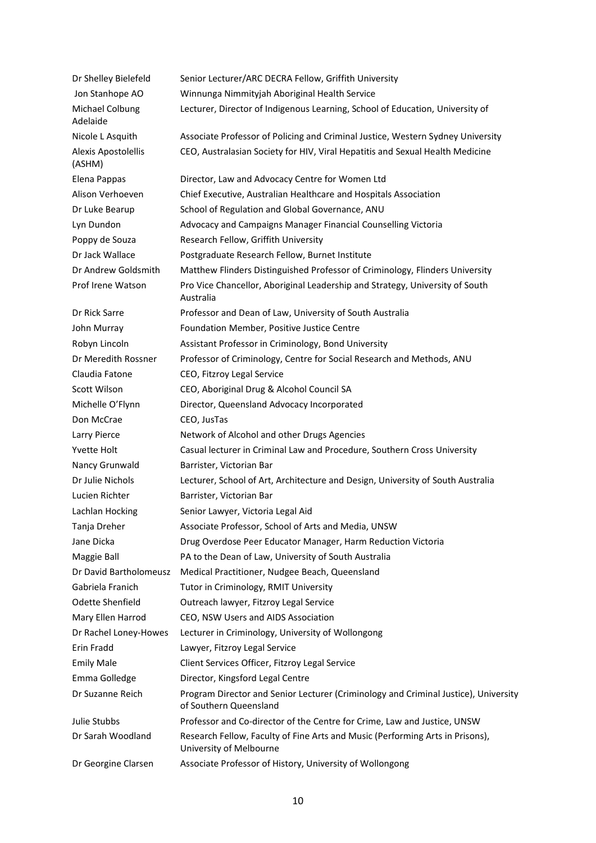| Dr Shelley Bielefeld          | Senior Lecturer/ARC DECRA Fellow, Griffith University                                                         |
|-------------------------------|---------------------------------------------------------------------------------------------------------------|
| Jon Stanhope AO               | Winnunga Nimmityjah Aboriginal Health Service                                                                 |
| Michael Colbung<br>Adelaide   | Lecturer, Director of Indigenous Learning, School of Education, University of                                 |
| Nicole L Asquith              | Associate Professor of Policing and Criminal Justice, Western Sydney University                               |
| Alexis Apostolellis<br>(ASHM) | CEO, Australasian Society for HIV, Viral Hepatitis and Sexual Health Medicine                                 |
| Elena Pappas                  | Director, Law and Advocacy Centre for Women Ltd                                                               |
| Alison Verhoeven              | Chief Executive, Australian Healthcare and Hospitals Association                                              |
| Dr Luke Bearup                | School of Regulation and Global Governance, ANU                                                               |
| Lyn Dundon                    | Advocacy and Campaigns Manager Financial Counselling Victoria                                                 |
| Poppy de Souza                | Research Fellow, Griffith University                                                                          |
| Dr Jack Wallace               | Postgraduate Research Fellow, Burnet Institute                                                                |
| Dr Andrew Goldsmith           | Matthew Flinders Distinguished Professor of Criminology, Flinders University                                  |
| Prof Irene Watson             | Pro Vice Chancellor, Aboriginal Leadership and Strategy, University of South<br>Australia                     |
| Dr Rick Sarre                 | Professor and Dean of Law, University of South Australia                                                      |
| John Murray                   | Foundation Member, Positive Justice Centre                                                                    |
| Robyn Lincoln                 | Assistant Professor in Criminology, Bond University                                                           |
| Dr Meredith Rossner           | Professor of Criminology, Centre for Social Research and Methods, ANU                                         |
| Claudia Fatone                | CEO, Fitzroy Legal Service                                                                                    |
| Scott Wilson                  | CEO, Aboriginal Drug & Alcohol Council SA                                                                     |
| Michelle O'Flynn              | Director, Queensland Advocacy Incorporated                                                                    |
| Don McCrae                    | CEO, JusTas                                                                                                   |
| Larry Pierce                  | Network of Alcohol and other Drugs Agencies                                                                   |
| <b>Yvette Holt</b>            | Casual lecturer in Criminal Law and Procedure, Southern Cross University                                      |
| Nancy Grunwald                | Barrister, Victorian Bar                                                                                      |
| Dr Julie Nichols              | Lecturer, School of Art, Architecture and Design, University of South Australia                               |
| Lucien Richter                | Barrister, Victorian Bar                                                                                      |
| Lachlan Hocking               | Senior Lawyer, Victoria Legal Aid                                                                             |
| Tanja Dreher                  | Associate Professor, School of Arts and Media, UNSW                                                           |
| Jane Dicka                    | Drug Overdose Peer Educator Manager, Harm Reduction Victoria                                                  |
| Maggie Ball                   | PA to the Dean of Law, University of South Australia                                                          |
| Dr David Bartholomeusz        | Medical Practitioner, Nudgee Beach, Queensland                                                                |
| Gabriela Franich              | Tutor in Criminology, RMIT University                                                                         |
| Odette Shenfield              | Outreach lawyer, Fitzroy Legal Service                                                                        |
| Mary Ellen Harrod             | CEO, NSW Users and AIDS Association                                                                           |
| Dr Rachel Loney-Howes         | Lecturer in Criminology, University of Wollongong                                                             |
| Erin Fradd                    | Lawyer, Fitzroy Legal Service                                                                                 |
| <b>Emily Male</b>             | Client Services Officer, Fitzroy Legal Service                                                                |
| Emma Golledge                 | Director, Kingsford Legal Centre                                                                              |
| Dr Suzanne Reich              | Program Director and Senior Lecturer (Criminology and Criminal Justice), University<br>of Southern Queensland |
| Julie Stubbs                  | Professor and Co-director of the Centre for Crime, Law and Justice, UNSW                                      |
| Dr Sarah Woodland             | Research Fellow, Faculty of Fine Arts and Music (Performing Arts in Prisons),<br>University of Melbourne      |
| Dr Georgine Clarsen           | Associate Professor of History, University of Wollongong                                                      |